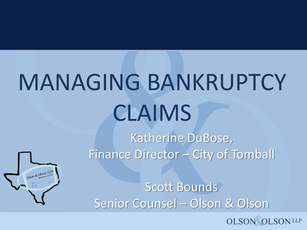# MANAGING BANKRUPTCY CLAIMS

Olson & Olson, LLP

Katherine DuBose, Finance Director – City of Tomball

Scott Bounds Senior Counsel – Olson & Olson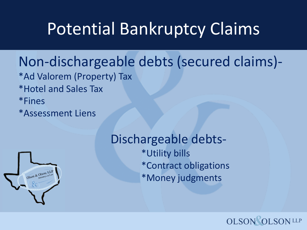### Potential Bankruptcy Claims

#### Non-dischargeable debts (secured claims)-

- \*Ad Valorem (Property) Tax
- \*Hotel and Sales Tax
- \*Fines

\*Assessment Liens



Dischargeable debts- \*Utility bills \*Contract obligations \*Money judgments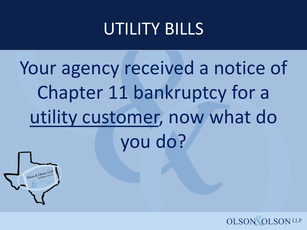### UTILITY BILLS

# Your agency received a notice of Chapter 11 bankruptcy for a utility customer, now what do you do?



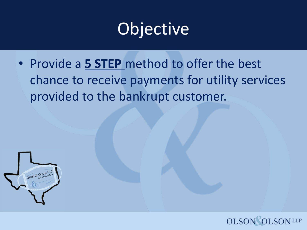### **Objective**

• Provide a **5 STEP** method to offer the best chance to receive payments for utility services provided to the bankrupt customer.



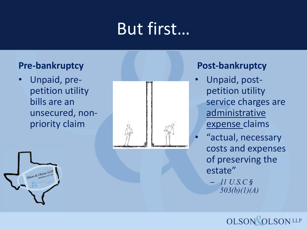# But first…

#### **Pre-bankruptcy**

Olson & Olson, LLP

• Unpaid, prepetition utility bills are an unsecured, nonpriority claim



#### **Post-bankruptcy**

- Unpaid, postpetition utility service charges are administrative expense claims
	- "actual, necessary costs and expenses of preserving the estate"
		- *11 U.S.C § 503(b)(1)(A)*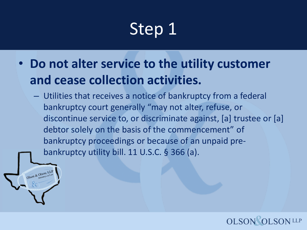• **Do not alter service to the utility customer and cease collection activities.**

Son & Olson, LL

– Utilities that receives a notice of bankruptcy from a federal bankruptcy court generally "may not alter, refuse, or discontinue service to, or discriminate against, [a] trustee or [a] debtor solely on the basis of the commencement" of bankruptcy proceedings or because of an unpaid prebankruptcy utility bill. 11 U.S.C. § 366 (a).

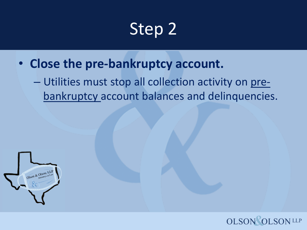- **Close the pre-bankruptcy account.**
	- Utilities must stop all collection activity on prebankruptcy account balances and delinquencies.



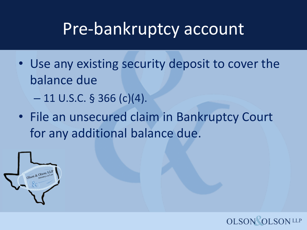#### Pre-bankruptcy account

- Use any existing security deposit to cover the balance due
	- $-11$  U.S.C. § 366 (c)(4).
- File an unsecured claim in Bankruptcy Court for any additional balance due.



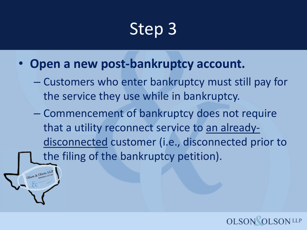• **Open a new post-bankruptcy account.**

Ison & Olson, LL

- Customers who enter bankruptcy must still pay for the service they use while in bankruptcy.
- Commencement of bankruptcy does not require that a utility reconnect service to an alreadydisconnected customer (i.e., disconnected prior to the filing of the bankruptcy petition).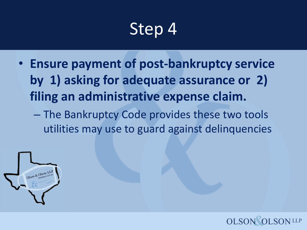• **Ensure payment of post-bankruptcy service by 1) asking for adequate assurance or 2) filing an administrative expense claim.**

– The Bankruptcy Code provides these two tools utilities may use to guard against delinquencies



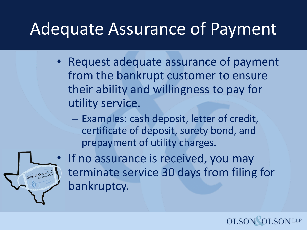#### Adequate Assurance of Payment

- Request adequate assurance of payment from the bankrupt customer to ensure their ability and willingness to pay for utility service.
	- Examples: cash deposit, letter of credit, certificate of deposit, surety bond, and prepayment of utility charges.



If no assurance is received, you may terminate service 30 days from filing for bankruptcy.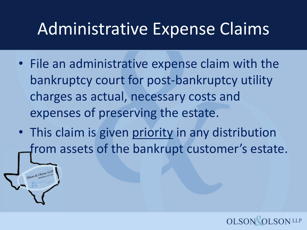#### Administrative Expense Claims

- File an administrative expense claim with the bankruptcy court for post-bankruptcy utility charges as actual, necessary costs and expenses of preserving the estate.
- This claim is given priority in any distribution from assets of the bankrupt customer's estate.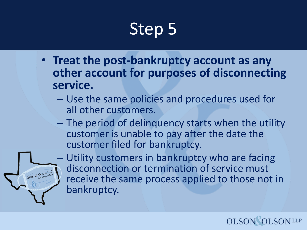- **Treat the post-bankruptcy account as any other account for purposes of disconnecting service.**
	- Use the same policies and procedures used for all other customers.
	- The period of delinquency starts when the utility customer is unable to pay after the date the customer filed for bankruptcy.



– Utility customers in bankruptcy who are facing disconnection or termination of service must receive the same process applied to those not in bankruptcy.

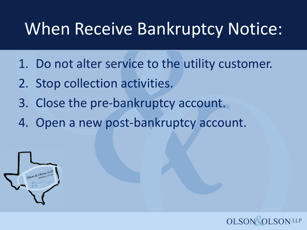### When Receive Bankruptcy Notice:

- 1. Do not alter service to the utility customer.
- 2. Stop collection activities.
- 3. Close the pre-bankruptcy account.
- 4. Open a new post-bankruptcy account.



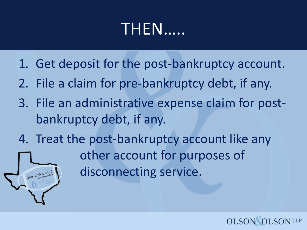### THEN…..

- 1. Get deposit for the post-bankruptcy account.
- 2. File a claim for pre-bankruptcy debt, if any.
- 3. File an administrative expense claim for postbankruptcy debt, if any.
- 4. Treat the post-bankruptcy account like any

other account for purposes of disconnecting service.